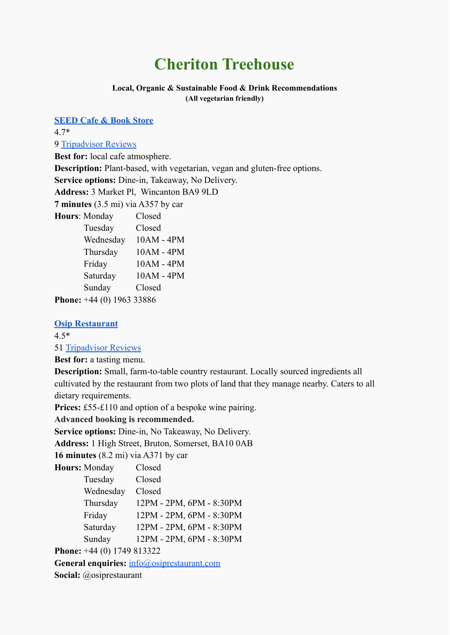# **Cheriton Treehouse**

#### **Local, Organic & Sustainable Food & Drink Recommendations (All vegetarian friendly)**

**[SEED Cafe & Book Store](https://hubatno3.com/the-seed-cafe)** 4.7\* 9 [Tripadvisor Reviews](https://www.tripadvisor.com/Restaurant_Review-g504146-d17370294-Reviews-SEED_Cafe-Wincanton_Somerset_England.html) **Best for:** local cafe atmosphere. **Description:** Plant-based, with vegetarian, vegan and gluten-free options. **Service options:** Dine-in, Takeaway, No Delivery. **Address:** 3 Market Pl, Wincanton BA9 9LD **7 minutes** (3.5 mi) via A357 by car **Hours**: Monday Closed Tuesday Closed Wednesday 10AM - 4PM Thursday 10AM - 4PM Friday 10AM - 4PM Saturday 10AM - 4PM Sunday Closed

**[Phone](https://www.google.com/search?sxsrf=ALeKk02BM4qJRPL1Ty6ISUtqDtZafDSn4Q:1628633225531&q=seed+caf%C3%A8+%26+book+store+wincanton+phone&ludocid=16584876712366464818&sa=X&ved=2ahUKEwj_g_DGu6fyAhXMsKQKHaPxD9QQ6BMwCnoECBQQAg):** [+44](https://www.google.com/search?q=Horsington%2C+somerset+UK%2C+VEGAN+CAFE&tbm=lcl&sxsrf=ALeKk00oaUBpzFZViYlhLagIENAtFjc_gQ%3A1628633172053&ei=VPgSYZnLApGakgXisYPIDA&oq=Horsington%2C+somerset+UK%2C+VEGAN+CAFE&gs_l=psy-ab.3...44621.47899.0.48093.16.10.0.0.0.0.331.331.3-1.1.0....0...1c.1.64.psy-ab..15.0.0....0.nYujX_l9daQ#) (0) [1963 33886](https://www.google.com/search?q=Horsington%2C+somerset+UK%2C+VEGAN+CAFE&tbm=lcl&sxsrf=ALeKk00oaUBpzFZViYlhLagIENAtFjc_gQ%3A1628633172053&ei=VPgSYZnLApGakgXisYPIDA&oq=Horsington%2C+somerset+UK%2C+VEGAN+CAFE&gs_l=psy-ab.3...44621.47899.0.48093.16.10.0.0.0.0.331.331.3-1.1.0....0...1c.1.64.psy-ab..15.0.0....0.nYujX_l9daQ#)

# **[Osip Restaurant](https://osiprestaurant.com/)**

4.5\*

51 [Tripadvisor Reviews](https://www.tripadvisor.com/Restaurant_Review-g1469149-d19755938-Reviews-Osip-Bruton_Somerset_England.html)

**Best for:** a tasting menu.

**Description:** Small, farm-to-table country restaurant. Locally sourced ingredients all cultivated by the restaurant from two plots of land that they manage nearby. Caters to all dietary requirements.

**Prices:** £55-£110 and option of a bespoke wine pairing.

**Advanced booking is recommended.**

**Service options:** Dine-in, No Takeaway, No Delivery.

**Address:** 1 High Street, Bruton, Somerset, BA10 0AB

**16 minutes** (8.2 mi) via A371 by car

| Hours: Monday                      | Closed                   |
|------------------------------------|--------------------------|
| Tuesday                            | Closed                   |
| Wednesday                          | Closed                   |
| Thursday                           | 12PM - 2PM, 6PM - 8:30PM |
| Friday                             | 12PM - 2PM, 6PM - 8:30PM |
| Saturday                           | 12PM - 2PM, 6PM - 8:30PM |
| Sunday                             | 12PM - 2PM, 6PM - 8:30PM |
| <b>Phone:</b> $+44(0)$ 1749 813322 |                          |

General enquiries: [info@osiprestaurant.com](mailto:info@osiprestaurant.com) **Social:** @osiprestaurant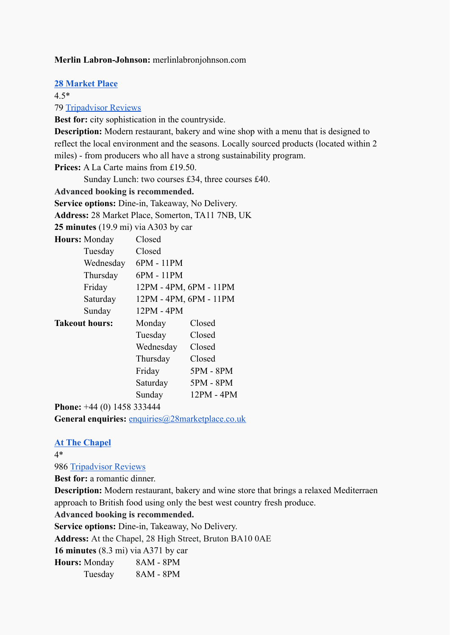# **Merlin Labron-Johnson:** merlinlabronjohnson.com

**[28 Market Place](https://28marketplace.co.uk/)**

4.5\*

79 [Tripadvisor Reviews](https://www.tripadvisor.com/Restaurant_Review-g504140-d19761608-Reviews-28_Market_Place-Somerton_Somerset_England.html#REVIEWS)

**Best for:** city sophistication in the countryside.

**Description:** Modern restaurant, bakery and wine shop with a menu that is designed to reflect the local environment and the seasons. Locally sourced products (located within 2 miles) - from producers who all have a strong sustainability program.

**Prices:** A La Carte mains from £19.50.

Sunday Lunch: two courses £34, three courses £40.

**Advanced booking is recommended.**

**Service options:** Dine-in, Takeaway, No Delivery.

**Address:** 28 Market Place, Somerton, TA11 7NB, UK

**25 minutes** (19.9 mi) via A303 by car

**Hours:** Monday Closed

| Closed     |                        |
|------------|------------------------|
| 6PM - 11PM |                        |
| 6PM - 11PM |                        |
|            | 12PM - 4PM, 6PM - 11PM |
|            | 12PM - 4PM, 6PM - 11PM |
| 12PM - 4PM |                        |
| Monday     | Closed                 |
| Tuesday    | Closed                 |
| Wednesday  | Closed                 |
| Thursday   | Closed                 |
| Friday     | 5PM - 8PM              |
| Saturday   | $5PM - 8PM$            |
| Sunday     | 12PM - 4PM             |
|            |                        |

**Phone:** +44 (0) 1458 333444

General enquiries: [enquiries@28marketplace.co.uk](mailto:enquiries@28marketplace.co.uk)

# **[At The Chapel](https://atthechapel.co.uk/)**

4\*

986 [Tripadvisor Reviews](https://www.tripadvisor.com/Restaurant_Review-g1469149-d1863265-Reviews-At_The_Chapel_Restaurant-Bruton_Somerset_England.html)

**Best for:** a romantic dinner.

**Description:** Modern restaurant, bakery and wine store that brings a relaxed Mediterraen approach to British food using only the best west country fresh produce.

**Advanced booking is recommended.**

**Service options:** Dine-in, Takeaway, No Delivery.

**Address:** At the Chapel, 28 High Street, Bruton BA10 0AE

**16 minutes** (8.3 mi) via A371 by car

**Hours:** Monday 8AM - 8PM

Tuesday 8AM - 8PM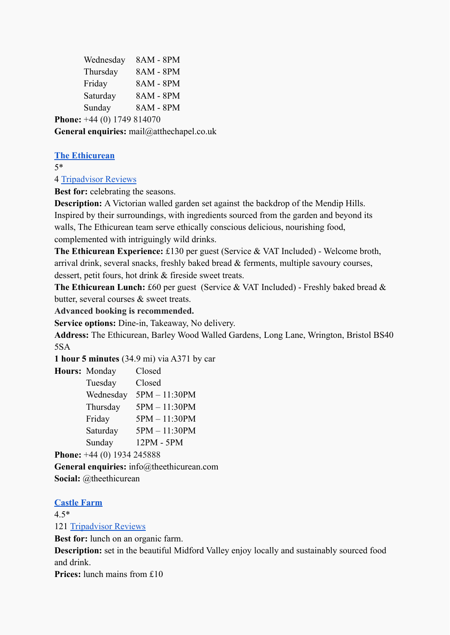| Wednesday                           | 8AM - 8PM |
|-------------------------------------|-----------|
| Thursday                            | 8AM - 8PM |
| Friday                              | 8AM - 8PM |
| Saturday                            | 8AM - 8PM |
| Sunday                              | 8AM - 8PM |
| <b>Phone:</b> $+44$ (0) 1749 814070 |           |

**General enquiries:** mail@atthechapel.co.uk

# **[The Ethicurean](https://theethicurean.com/)**

5\*

4 [Tripadvisor Reviews](https://www.tripadvisor.com/Restaurant_Review-g1077114-d3188676-Reviews-The_Ethicurean-Wrington_Somerset_England.html)

**Best for:** celebrating the seasons.

**Description:** A Victorian walled garden set against the backdrop of the Mendip Hills. Inspired by their surroundings, with ingredients sourced from the garden and beyond its walls, The Ethicurean team serve ethically conscious delicious, nourishing food, complemented with intriguingly wild drinks.

**The Ethicurean Experience:** £130 per guest (Service & VAT Included) - Welcome broth, arrival drink, several snacks, freshly baked bread & ferments, multiple savoury courses, dessert, petit fours, hot drink & fireside sweet treats.

**The Ethicurean Lunch:** £60 per guest (Service & VAT Included) - Freshly baked bread & butter, several courses & sweet treats.

**Advanced booking is recommended.**

**Service options:** Dine-in, Takeaway, No delivery.

**Address:** The Ethicurean, Barley Wood Walled Gardens, Long Lane, Wrington, Bristol BS40 5SA

**1 hour 5 minutes** (34.9 mi) via A371 by car

| Hours: Monday | Closed        |
|---------------|---------------|
| Tuesday       | Closed        |
| Wednesday     | 5PM - 11:30PM |
| Thursday      | 5PM - 11:30PM |
| Friday        | 5PM - 11:30PM |
| Saturday      | 5PM - 11:30PM |
| Sunday        | 12PM - 5PM    |
|               |               |

**Phone:** +44 (0) 1934 245888

**General enquiries:** info@theethicurean.com **Social:** @theethicurean

# **[Castle Farm](https://www.castlefarmmidford.co.uk/)**

4.5\* 121 [Tripadvisor Reviews](https://www.tripadvisor.com/Restaurant_Review-g186370-d12186505-Reviews-Castle_Farm_Midford-Bath_Somerset_England.html)

**Best for:** lunch on an organic farm.

**Description:** set in the beautiful Midford Valley enjoy locally and sustainably sourced food and drink.

**Prices:** lunch mains from £10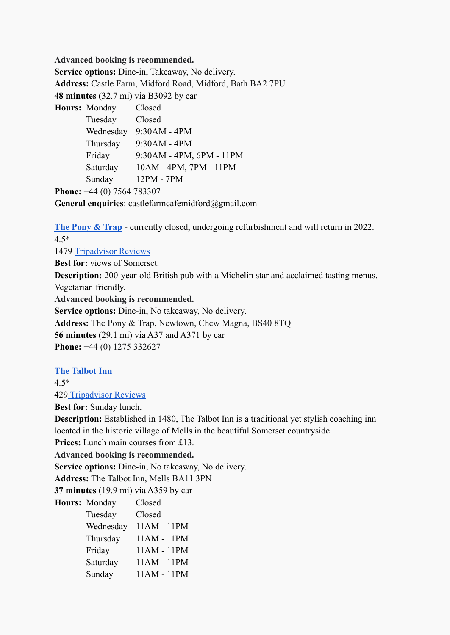**Advanced booking is recommended.**

**Service options:** Dine-in, Takeaway, No delivery. **Address:** Castle Farm, Midford Road, Midford, Bath BA2 7PU **48 minutes** (32.7 mi) via B3092 by car

**Hours:** Monday Closed Tuesday Closed Wednesday 9:30AM - 4PM Thursday 9:30AM - 4PM Friday 9:30AM - 4PM, 6PM - 11PM Saturday 10AM - 4PM, 7PM - 11PM Sunday 12PM - 7PM

**Phone:** +44 (0) 7564 783307

**General enquiries**: castlefarmcafemidford@gmail.com

**[The Pony & Trap](https://www.theponyandtrap.co.uk/)** - currently closed, undergoing refurbishment and will return in 2022. 4.5\*

1479 [Tripadvisor Reviews](https://www.tripadvisor.com/Restaurant_Review-g1869005-d1869002-Reviews-The_Pony_Trap-Chew_Magna_Somerset_England.html)

**Best for:** views of Somerset.

**Description:** 200-year-old British pub with a Michelin star and acclaimed tasting menus. Vegetarian friendly.

**Advanced booking is recommended.**

**Service options:** Dine-in, No takeaway, No delivery. **Address:** The Pony & Trap, Newtown, Chew Magna, BS40 8TQ **56 minutes** (29.1 mi) via A37 and A371 by car

**Phone:** +44 (0) 1275 332627

# **[The Talbot Inn](https://www.talbotinn.com/)**

4.5\*

429 [Tripadvisor Reviews](https://www.tripadvisor.com/Hotel_Review-g1762010-d211338-Reviews-The_Talbot_Inn-Mells_Frome_Somerset_England.html)

**Best for:** Sunday lunch.

**Description:** Established in 1480, The Talbot Inn is a traditional yet stylish coaching inn located in the historic village of Mells in the beautiful Somerset countryside.

**Prices:** Lunch main courses from £13.

**Advanced booking is recommended.**

**Service options:** Dine-in, No takeaway, No delivery.

**Address:** The Talbot Inn, Mells BA11 3PN

**37 minutes** (19.9 mi) via A359 by car

| Hours: Monday | Closed      |
|---------------|-------------|
| Tuesday       | Closed      |
| Wednesday     | 11AM - 11PM |
| Thursday      | 11AM - 11PM |
| Friday        | 11AM - 11PM |
| Saturday      | 11AM - 11PM |
| Sunday        | 11AM - 11PM |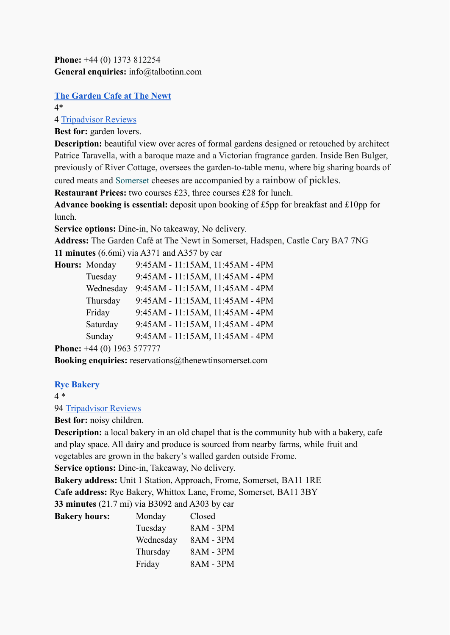**Phone:** +44 (0) 1373 812254 **General enquiries:** info@talbotinn.com

# **[The Garden Cafe at The Newt](https://thenewtinsomerset.com/garden)**

4\*

4 [Tripadvisor Reviews](https://www.tripadvisor.co.uk/ShowUserReviews-g1469149-d17456265-r696557142-The_Newt_in_Somerset-Bruton_Somerset_England.html)

**Best for:** garden lovers.

**Description:** beautiful view over acres of formal gardens designed or retouched by architect Patrice Taravella, with a baroque maze and a Victorian fragrance garden. Inside Ben Bulger, previously of River Cottage, oversees the garden-to-table menu, where big sharing boards of cured meats and [Somerset](https://www.cntraveller.com/location/somerset) cheeses are accompanied by a rainbow of pickles.

**Restaurant Prices:** two courses £23, three courses £28 for lunch.

**Advance booking is essential:** deposit upon booking of £5pp for breakfast and £10pp for lunch.

**Service options:** Dine-in, No takeaway, No delivery.

**Address:** The Garden Café at The Newt in Somerset, Hadspen, Castle Cary BA7 7NG **11 minutes** (6.6mi) via A371 and A357 by car

| Hours: Monday | 9:45AM - 11:15AM, 11:45AM - 4PM |
|---------------|---------------------------------|
| Tuesday       | 9:45AM - 11:15AM, 11:45AM - 4PM |
| Wednesday     | 9:45AM - 11:15AM, 11:45AM - 4PM |
| Thursday      | 9:45AM - 11:15AM, 11:45AM - 4PM |
| Friday        | 9:45AM - 11:15AM, 11:45AM - 4PM |
| Saturday      | 9:45AM - 11:15AM, 11:45AM - 4PM |
| Sunday        | 9:45AM - 11:15AM, 11:45AM - 4PM |
|               |                                 |

**Phone:** +44 (0) 1963 577777

**Booking enquiries:** reservations@thenewtinsomerset.com

# **[Rye Bakery](https://www.rye-bakery.com/bakery-1)**

**Bakery hours:** 

4 \*

94 [Tripadvisor Reviews](https://www.tripadvisor.it/Restaurant_Review-g504128-d12586736-Reviews-Rye_Bakery-Frome_Somerset_England.html)

# **Best for:** noisy children.

**Description:** a local bakery in an old chapel that is the community hub with a bakery, cafe and play space. All dairy and produce is sourced from nearby farms, while fruit and vegetables are grown in the bakery's walled garden outside Frome.

**Service options:** Dine-in, Takeaway, No delivery.

**Bakery address:** Unit 1 Station, Approach, Frome, Somerset, BA11 1RE

**Cafe address:** Rye Bakery, Whittox Lane, Frome, Somerset, BA11 3BY

**33 minutes** (21.7 mi) via B3092 and A303 by car

| Monday    | Closed    |
|-----------|-----------|
| Tuesday   | 8AM - 3PM |
| Wednesday | 8AM - 3PM |
| Thursday  | 8AM - 3PM |
| Friday    | 8AM - 3PM |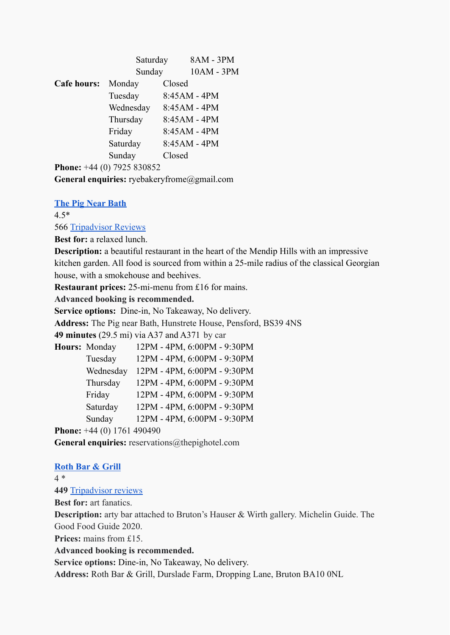|             | Saturday  |        | 8AM - 3PM    |
|-------------|-----------|--------|--------------|
|             | Sunday    |        | 10AM - 3PM   |
| Cafe hours: | Monday    | Closed |              |
|             | Tuesday   |        | 8:45AM - 4PM |
|             | Wednesday |        | 8:45AM - 4PM |
|             | Thursday  |        | 8:45AM - 4PM |
|             | Friday    |        | 8:45AM - 4PM |
|             | Saturday  |        | 8:45AM - 4PM |
|             | Sunday    | Closed |              |
|             |           |        |              |

**Phone:** +44 (0) 7925 830852

**General enquiries:** ryebakeryfrome@gmail.com

# **[The Pig Near Bath](https://www.thepighotel.com/)**

4.5\*

566 [Tripadvisor Reviews](https://www.tripadvisor.co.uk/Restaurant_Review-g6498570-d6561024-Reviews-THE_PIG_near_Bath-Pensford_Somerset_England.html)

**Best for:** a relaxed lunch.

**Description:** a beautiful restaurant in the heart of the Mendip Hills with an impressive kitchen garden. All food is sourced from within a 25-mile radius of the classical Georgian house, with a smokehouse and beehives.

**Restaurant prices:** 25-mi-menu from £16 for mains.

**Advanced booking is recommended.**

**Service options:** Dine-in, No Takeaway, No delivery.

**Address:** The Pig near Bath, Hunstrete House, Pensford, BS39 4NS

**49 minutes** (29.5 mi) via A37 and A371 by car

| Hours: Monday                          | 12PM - 4PM, 6:00PM - 9:30PM |
|----------------------------------------|-----------------------------|
| Tuesday                                | 12PM - 4PM, 6:00PM - 9:30PM |
| Wednesday                              | 12PM - 4PM, 6:00PM - 9:30PM |
| Thursday                               | 12PM - 4PM, 6:00PM - 9:30PM |
| Friday                                 | 12PM - 4PM, 6:00PM - 9:30PM |
| Saturday                               | 12PM - 4PM, 6:00PM - 9:30PM |
| Sunday                                 | 12PM - 4PM, 6:00PM - 9:30PM |
| $\mathbf{A}$ $\mathbf{A}$ $\mathbf{A}$ | 100100                      |

**Phone:** +44 (0) 1761 490490

General enquiries: reservations@thepighotel.com

#### **[Roth Bar & Grill](https://www.rothbarandgrill.co.uk/)**

4 \*

#### **449** [Tripadvisor reviews](https://www.tripadvisor.com/Restaurant_Review-g1469149-d6915826-Reviews-Roth_Bar_Grill-Bruton_Somerset_England.html)

**Best for:** art fanatics.

**Description:** arty bar attached to Bruton's Hauser & Wirth gallery. Michelin Guide. The Good Food Guide 2020.

**Prices:** mains from £15.

**Advanced booking is recommended.**

**Service options:** Dine-in, No Takeaway, No delivery.

**Address:** Roth Bar & Grill, Durslade Farm, Dropping Lane, Bruton BA10 0NL